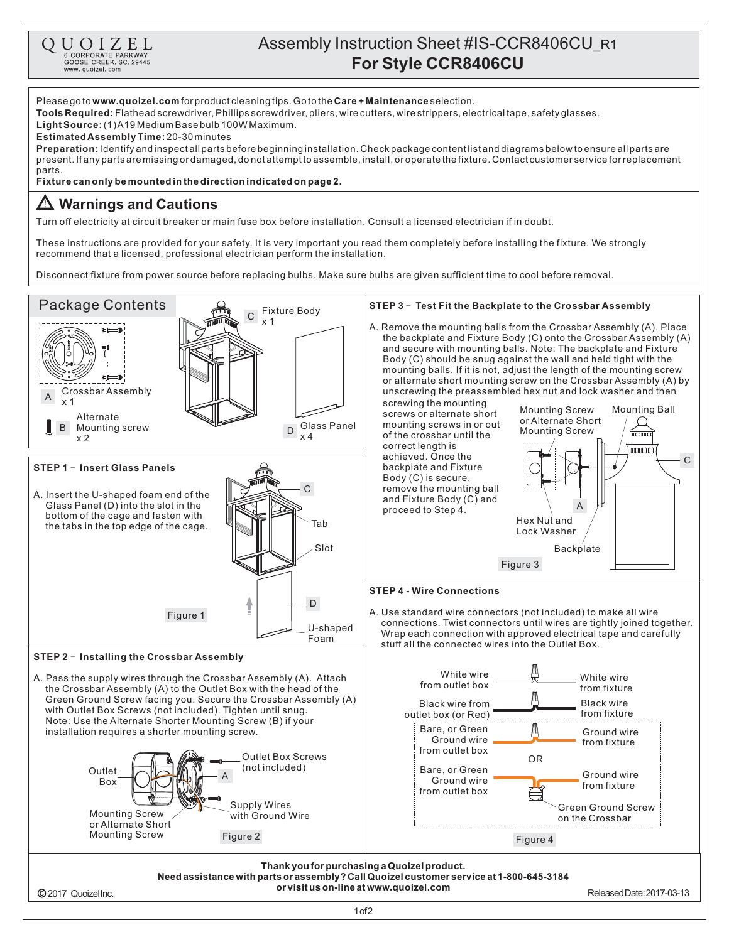

## Assembly Instruction Sheet #IS-CCR8406CU\_R1 **For Style CCR8406CU**